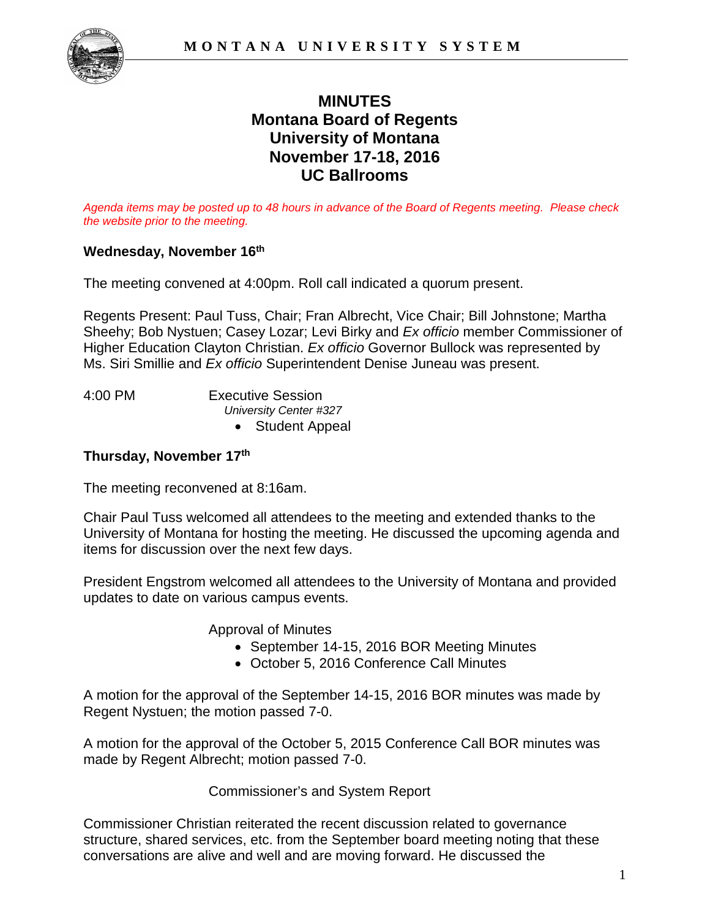

# **MINUTES Montana Board of Regents University of Montana November 17-18, 2016 UC Ballrooms**

*Agenda items may be posted up to 48 hours in advance of the Board of Regents meeting. Please check the website prior to the meeting.* 

## **Wednesday, November 16th**

The meeting convened at 4:00pm. Roll call indicated a quorum present.

Regents Present: Paul Tuss, Chair; Fran Albrecht, Vice Chair; Bill Johnstone; Martha Sheehy; Bob Nystuen; Casey Lozar; Levi Birky and *Ex officio* member Commissioner of Higher Education Clayton Christian. *Ex officio* Governor Bullock was represented by Ms. Siri Smillie and *Ex officio* Superintendent Denise Juneau was present.

4:00 PM Executive Session *University Center #327* • Student Appeal

#### **Thursday, November 17th**

The meeting reconvened at 8:16am.

Chair Paul Tuss welcomed all attendees to the meeting and extended thanks to the University of Montana for hosting the meeting. He discussed the upcoming agenda and items for discussion over the next few days.

President Engstrom welcomed all attendees to the University of Montana and provided updates to date on various campus events.

Approval of Minutes

- September 14-15, 2016 BOR Meeting Minutes
- October 5, 2016 Conference Call Minutes

A motion for the approval of the September 14-15, 2016 BOR minutes was made by Regent Nystuen; the motion passed 7-0.

A motion for the approval of the October 5, 2015 Conference Call BOR minutes was made by Regent Albrecht; motion passed 7-0.

Commissioner's and System Report

Commissioner Christian reiterated the recent discussion related to governance structure, shared services, etc. from the September board meeting noting that these conversations are alive and well and are moving forward. He discussed the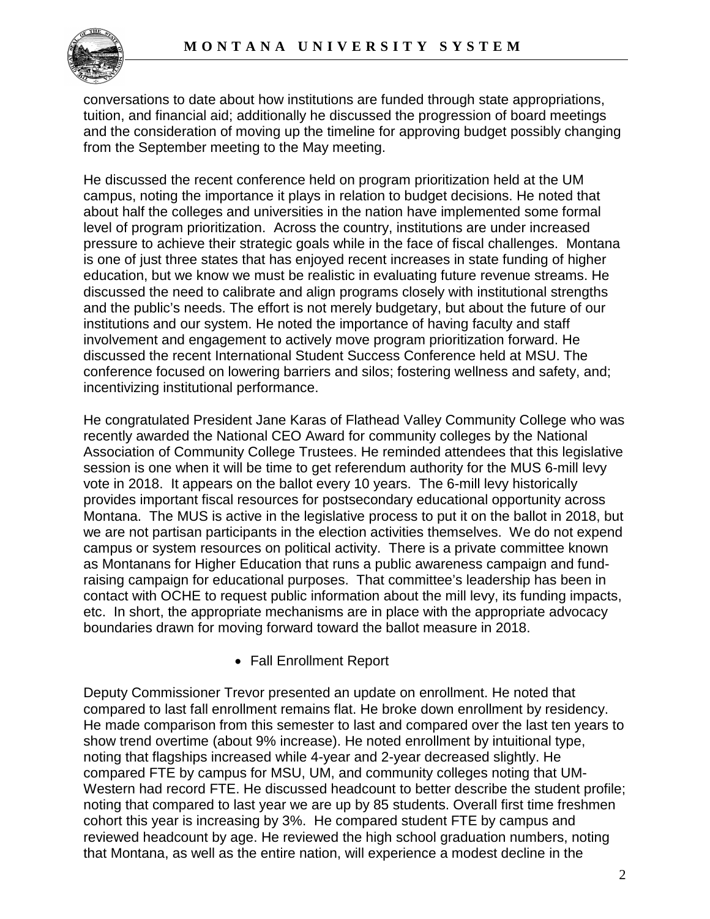

conversations to date about how institutions are funded through state appropriations, tuition, and financial aid; additionally he discussed the progression of board meetings and the consideration of moving up the timeline for approving budget possibly changing from the September meeting to the May meeting.

He discussed the recent conference held on program prioritization held at the UM campus, noting the importance it plays in relation to budget decisions. He noted that about half the colleges and universities in the nation have implemented some formal level of program prioritization. Across the country, institutions are under increased pressure to achieve their strategic goals while in the face of fiscal challenges. Montana is one of just three states that has enjoyed recent increases in state funding of higher education, but we know we must be realistic in evaluating future revenue streams. He discussed the need to calibrate and align programs closely with institutional strengths and the public's needs. The effort is not merely budgetary, but about the future of our institutions and our system. He noted the importance of having faculty and staff involvement and engagement to actively move program prioritization forward. He discussed the recent International Student Success Conference held at MSU. The conference focused on lowering barriers and silos; fostering wellness and safety, and; incentivizing institutional performance.

He congratulated President Jane Karas of Flathead Valley Community College who was recently awarded the National CEO Award for community colleges by the National Association of Community College Trustees. He reminded attendees that this legislative session is one when it will be time to get referendum authority for the MUS 6-mill levy vote in 2018. It appears on the ballot every 10 years. The 6-mill levy historically provides important fiscal resources for postsecondary educational opportunity across Montana. The MUS is active in the legislative process to put it on the ballot in 2018, but we are not partisan participants in the election activities themselves. We do not expend campus or system resources on political activity. There is a private committee known as Montanans for Higher Education that runs a public awareness campaign and fundraising campaign for educational purposes. That committee's leadership has been in contact with OCHE to request public information about the mill levy, its funding impacts, etc. In short, the appropriate mechanisms are in place with the appropriate advocacy boundaries drawn for moving forward toward the ballot measure in 2018.

• Fall Enrollment Report

Deputy Commissioner Trevor presented an update on enrollment. He noted that compared to last fall enrollment remains flat. He broke down enrollment by residency. He made comparison from this semester to last and compared over the last ten years to show trend overtime (about 9% increase). He noted enrollment by intuitional type, noting that flagships increased while 4-year and 2-year decreased slightly. He compared FTE by campus for MSU, UM, and community colleges noting that UM-Western had record FTE. He discussed headcount to better describe the student profile; noting that compared to last year we are up by 85 students. Overall first time freshmen cohort this year is increasing by 3%. He compared student FTE by campus and reviewed headcount by age. He reviewed the high school graduation numbers, noting that Montana, as well as the entire nation, will experience a modest decline in the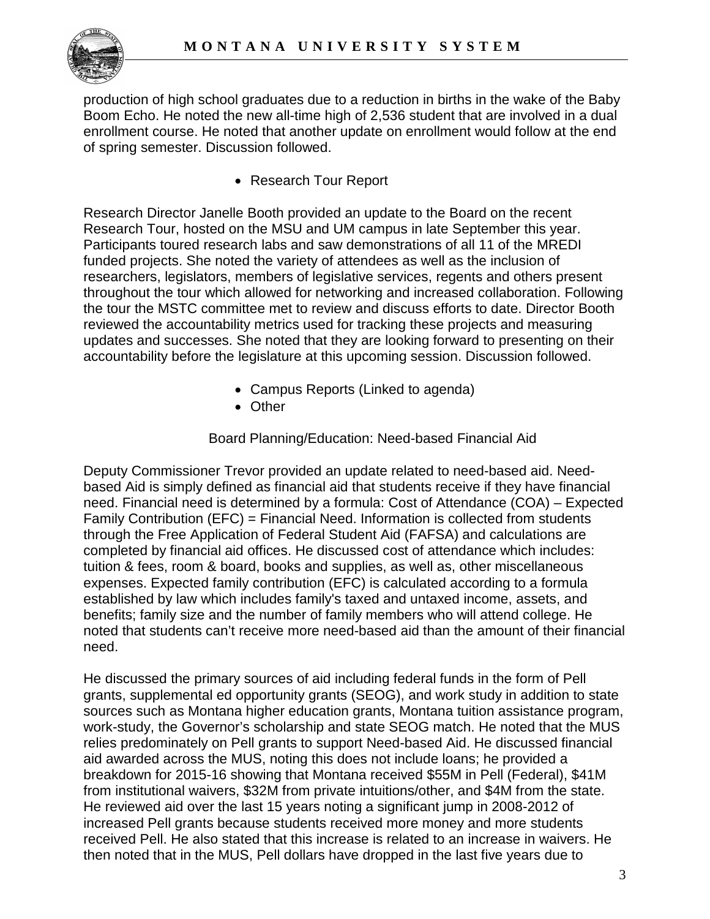

production of high school graduates due to a reduction in births in the wake of the Baby Boom Echo. He noted the new all-time high of 2,536 student that are involved in a dual enrollment course. He noted that another update on enrollment would follow at the end of spring semester. Discussion followed.

• Research Tour Report

Research Director Janelle Booth provided an update to the Board on the recent Research Tour, hosted on the MSU and UM campus in late September this year. Participants toured research labs and saw demonstrations of all 11 of the MREDI funded projects. She noted the variety of attendees as well as the inclusion of researchers, legislators, members of legislative services, regents and others present throughout the tour which allowed for networking and increased collaboration. Following the tour the MSTC committee met to review and discuss efforts to date. Director Booth reviewed the accountability metrics used for tracking these projects and measuring updates and successes. She noted that they are looking forward to presenting on their accountability before the legislature at this upcoming session. Discussion followed.

- Campus Reports (Linked to agenda)
- Other

Board Planning/Education: Need-based Financial Aid

Deputy Commissioner Trevor provided an update related to need-based aid. Needbased Aid is simply defined as financial aid that students receive if they have financial need. Financial need is determined by a formula: Cost of Attendance (COA) – Expected Family Contribution (EFC) = Financial Need. Information is collected from students through the Free Application of Federal Student Aid (FAFSA) and calculations are completed by financial aid offices. He discussed cost of attendance which includes: tuition & fees, room & board, books and supplies, as well as, other miscellaneous expenses. Expected family contribution (EFC) is calculated according to a formula established by law which includes family's taxed and untaxed income, assets, and benefits; family size and the number of family members who will attend college. He noted that students can't receive more need-based aid than the amount of their financial need.

He discussed the primary sources of aid including federal funds in the form of Pell grants, supplemental ed opportunity grants (SEOG), and work study in addition to state sources such as Montana higher education grants, Montana tuition assistance program, work-study, the Governor's scholarship and state SEOG match. He noted that the MUS relies predominately on Pell grants to support Need-based Aid. He discussed financial aid awarded across the MUS, noting this does not include loans; he provided a breakdown for 2015-16 showing that Montana received \$55M in Pell (Federal), \$41M from institutional waivers, \$32M from private intuitions/other, and \$4M from the state. He reviewed aid over the last 15 years noting a significant jump in 2008-2012 of increased Pell grants because students received more money and more students received Pell. He also stated that this increase is related to an increase in waivers. He then noted that in the MUS, Pell dollars have dropped in the last five years due to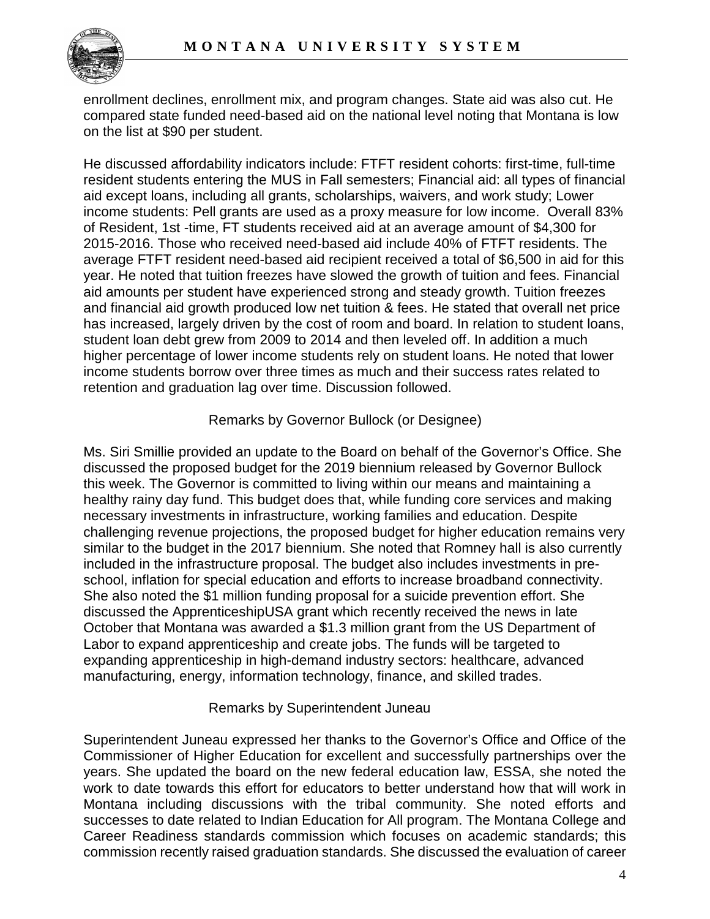

enrollment declines, enrollment mix, and program changes. State aid was also cut. He compared state funded need-based aid on the national level noting that Montana is low on the list at \$90 per student.

He discussed affordability indicators include: FTFT resident cohorts: first-time, full-time resident students entering the MUS in Fall semesters; Financial aid: all types of financial aid except loans, including all grants, scholarships, waivers, and work study; Lower income students: Pell grants are used as a proxy measure for low income. Overall 83% of Resident, 1st -time, FT students received aid at an average amount of \$4,300 for 2015-2016. Those who received need-based aid include 40% of FTFT residents. The average FTFT resident need-based aid recipient received a total of \$6,500 in aid for this year. He noted that tuition freezes have slowed the growth of tuition and fees. Financial aid amounts per student have experienced strong and steady growth. Tuition freezes and financial aid growth produced low net tuition & fees. He stated that overall net price has increased, largely driven by the cost of room and board. In relation to student loans, student loan debt grew from 2009 to 2014 and then leveled off. In addition a much higher percentage of lower income students rely on student loans. He noted that lower income students borrow over three times as much and their success rates related to retention and graduation lag over time. Discussion followed.

# Remarks by Governor Bullock (or Designee)

Ms. Siri Smillie provided an update to the Board on behalf of the Governor's Office. She discussed the proposed budget for the 2019 biennium released by Governor Bullock this week. The Governor is committed to living within our means and maintaining a healthy rainy day fund. This budget does that, while funding core services and making necessary investments in infrastructure, working families and education. Despite challenging revenue projections, the proposed budget for higher education remains very similar to the budget in the 2017 biennium. She noted that Romney hall is also currently included in the infrastructure proposal. The budget also includes investments in preschool, inflation for special education and efforts to increase broadband connectivity. She also noted the \$1 million funding proposal for a suicide prevention effort. She discussed the ApprenticeshipUSA grant which recently received the news in late October that Montana was awarded a \$1.3 million grant from the US Department of Labor to expand apprenticeship and create jobs. The funds will be targeted to expanding apprenticeship in high-demand industry sectors: healthcare, advanced manufacturing, energy, information technology, finance, and skilled trades.

# Remarks by Superintendent Juneau

Superintendent Juneau expressed her thanks to the Governor's Office and Office of the Commissioner of Higher Education for excellent and successfully partnerships over the years. She updated the board on the new federal education law, ESSA, she noted the work to date towards this effort for educators to better understand how that will work in Montana including discussions with the tribal community. She noted efforts and successes to date related to Indian Education for All program. The Montana College and Career Readiness standards commission which focuses on academic standards; this commission recently raised graduation standards. She discussed the evaluation of career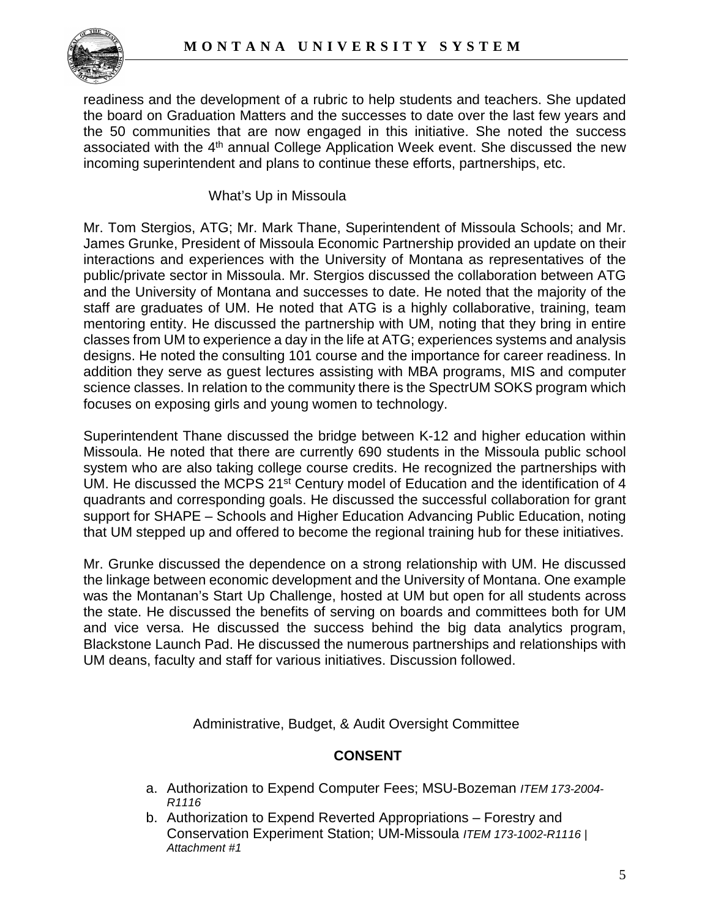

readiness and the development of a rubric to help students and teachers. She updated the board on Graduation Matters and the successes to date over the last few years and the 50 communities that are now engaged in this initiative. She noted the success associated with the 4<sup>th</sup> annual College Application Week event. She discussed the new incoming superintendent and plans to continue these efforts, partnerships, etc.

## What's Up in Missoula

Mr. Tom Stergios, ATG; Mr. Mark Thane, Superintendent of Missoula Schools; and Mr. James Grunke, President of Missoula Economic Partnership provided an update on their interactions and experiences with the University of Montana as representatives of the public/private sector in Missoula. Mr. Stergios discussed the collaboration between ATG and the University of Montana and successes to date. He noted that the majority of the staff are graduates of UM. He noted that ATG is a highly collaborative, training, team mentoring entity. He discussed the partnership with UM, noting that they bring in entire classes from UM to experience a day in the life at ATG; experiences systems and analysis designs. He noted the consulting 101 course and the importance for career readiness. In addition they serve as guest lectures assisting with MBA programs, MIS and computer science classes. In relation to the community there is the SpectrUM SOKS program which focuses on exposing girls and young women to technology.

Superintendent Thane discussed the bridge between K-12 and higher education within Missoula. He noted that there are currently 690 students in the Missoula public school system who are also taking college course credits. He recognized the partnerships with UM. He discussed the MCPS 21st Century model of Education and the identification of 4 quadrants and corresponding goals. He discussed the successful collaboration for grant support for SHAPE – Schools and Higher Education Advancing Public Education, noting that UM stepped up and offered to become the regional training hub for these initiatives.

Mr. Grunke discussed the dependence on a strong relationship with UM. He discussed the linkage between economic development and the University of Montana. One example was the Montanan's Start Up Challenge, hosted at UM but open for all students across the state. He discussed the benefits of serving on boards and committees both for UM and vice versa. He discussed the success behind the big data analytics program, Blackstone Launch Pad. He discussed the numerous partnerships and relationships with UM deans, faculty and staff for various initiatives. Discussion followed.

Administrative, Budget, & Audit Oversight Committee

# **CONSENT**

- a. Authorization to Expend Computer Fees; MSU-Bozeman *ITEM 173-2004- R1116*
- b. Authorization to Expend Reverted Appropriations Forestry and Conservation Experiment Station; UM-Missoula *ITEM 173-1002-R1116 | Attachment #1*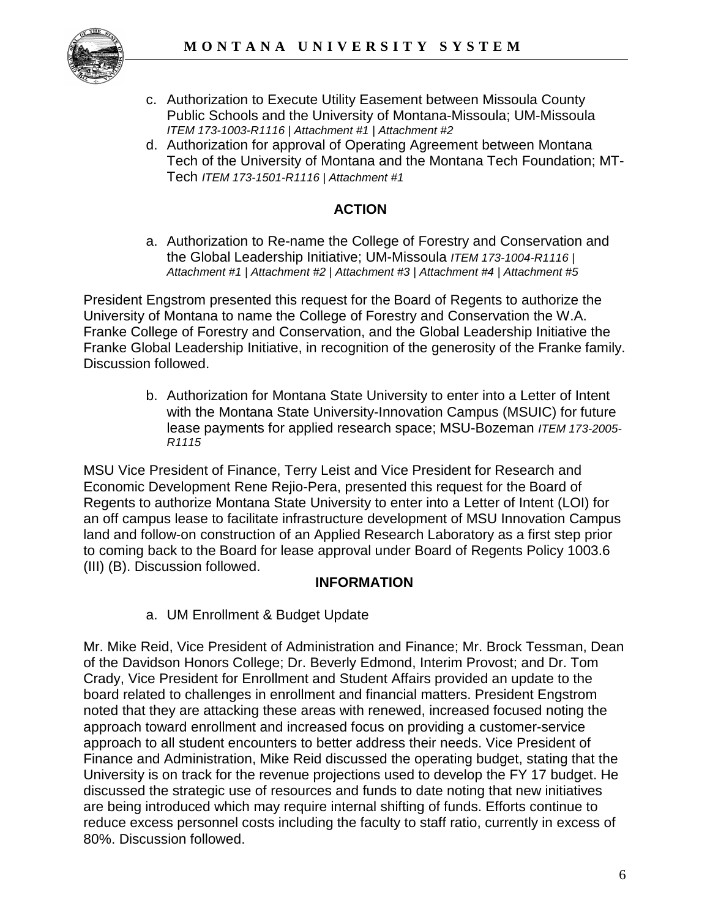

- c. Authorization to Execute Utility Easement between Missoula County Public Schools and the University of Montana-Missoula; UM-Missoula *ITEM 173-1003-R1116 | Attachment #1 | Attachment #2*
- d. Authorization for approval of Operating Agreement between Montana Tech of the University of Montana and the Montana Tech Foundation; MT-Tech *ITEM 173-1501-R1116 | Attachment #1*

# **ACTION**

a. Authorization to Re-name the College of Forestry and Conservation and the Global Leadership Initiative; UM-Missoula *ITEM 173-1004-R1116 | Attachment #1 | Attachment #2 | Attachment #3 | Attachment #4 | Attachment #5*

President Engstrom presented this request for the Board of Regents to authorize the University of Montana to name the College of Forestry and Conservation the W.A. Franke College of Forestry and Conservation, and the Global Leadership Initiative the Franke Global Leadership Initiative, in recognition of the generosity of the Franke family. Discussion followed.

> b. Authorization for Montana State University to enter into a Letter of Intent with the Montana State University-Innovation Campus (MSUIC) for future lease payments for applied research space; MSU-Bozeman *ITEM 173-2005- R1115*

MSU Vice President of Finance, Terry Leist and Vice President for Research and Economic Development Rene Rejio-Pera, presented this request for the Board of Regents to authorize Montana State University to enter into a Letter of Intent (LOI) for an off campus lease to facilitate infrastructure development of MSU Innovation Campus land and follow-on construction of an Applied Research Laboratory as a first step prior to coming back to the Board for lease approval under Board of Regents Policy 1003.6 (III) (B). Discussion followed.

# **INFORMATION**

a. UM Enrollment & Budget Update

Mr. Mike Reid, Vice President of Administration and Finance; Mr. Brock Tessman, Dean of the Davidson Honors College; Dr. Beverly Edmond, Interim Provost; and Dr. Tom Crady, Vice President for Enrollment and Student Affairs provided an update to the board related to challenges in enrollment and financial matters. President Engstrom noted that they are attacking these areas with renewed, increased focused noting the approach toward enrollment and increased focus on providing a customer-service approach to all student encounters to better address their needs. Vice President of Finance and Administration, Mike Reid discussed the operating budget, stating that the University is on track for the revenue projections used to develop the FY 17 budget. He discussed the strategic use of resources and funds to date noting that new initiatives are being introduced which may require internal shifting of funds. Efforts continue to reduce excess personnel costs including the faculty to staff ratio, currently in excess of 80%. Discussion followed.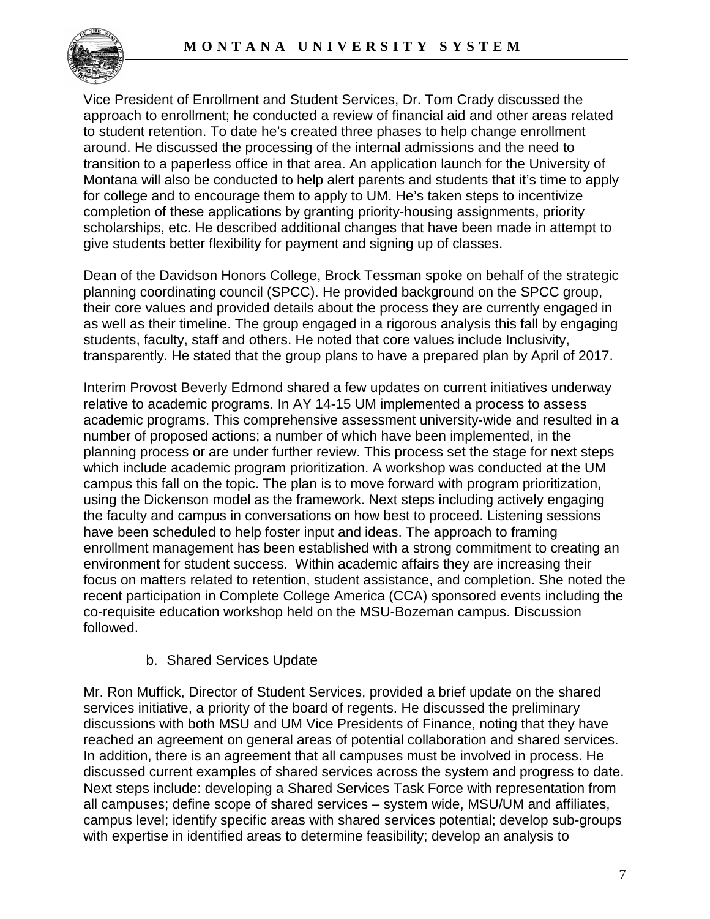

Vice President of Enrollment and Student Services, Dr. Tom Crady discussed the approach to enrollment; he conducted a review of financial aid and other areas related to student retention. To date he's created three phases to help change enrollment around. He discussed the processing of the internal admissions and the need to transition to a paperless office in that area. An application launch for the University of Montana will also be conducted to help alert parents and students that it's time to apply for college and to encourage them to apply to UM. He's taken steps to incentivize completion of these applications by granting priority-housing assignments, priority scholarships, etc. He described additional changes that have been made in attempt to give students better flexibility for payment and signing up of classes.

Dean of the Davidson Honors College, Brock Tessman spoke on behalf of the strategic planning coordinating council (SPCC). He provided background on the SPCC group, their core values and provided details about the process they are currently engaged in as well as their timeline. The group engaged in a rigorous analysis this fall by engaging students, faculty, staff and others. He noted that core values include Inclusivity, transparently. He stated that the group plans to have a prepared plan by April of 2017.

Interim Provost Beverly Edmond shared a few updates on current initiatives underway relative to academic programs. In AY 14-15 UM implemented a process to assess academic programs. This comprehensive assessment university-wide and resulted in a number of proposed actions; a number of which have been implemented, in the planning process or are under further review. This process set the stage for next steps which include academic program prioritization. A workshop was conducted at the UM campus this fall on the topic. The plan is to move forward with program prioritization, using the Dickenson model as the framework. Next steps including actively engaging the faculty and campus in conversations on how best to proceed. Listening sessions have been scheduled to help foster input and ideas. The approach to framing enrollment management has been established with a strong commitment to creating an environment for student success. Within academic affairs they are increasing their focus on matters related to retention, student assistance, and completion. She noted the recent participation in Complete College America (CCA) sponsored events including the co-requisite education workshop held on the MSU-Bozeman campus. Discussion followed.

# b. Shared Services Update

Mr. Ron Muffick, Director of Student Services, provided a brief update on the shared services initiative, a priority of the board of regents. He discussed the preliminary discussions with both MSU and UM Vice Presidents of Finance, noting that they have reached an agreement on general areas of potential collaboration and shared services. In addition, there is an agreement that all campuses must be involved in process. He discussed current examples of shared services across the system and progress to date. Next steps include: developing a Shared Services Task Force with representation from all campuses; define scope of shared services – system wide, MSU/UM and affiliates, campus level; identify specific areas with shared services potential; develop sub-groups with expertise in identified areas to determine feasibility; develop an analysis to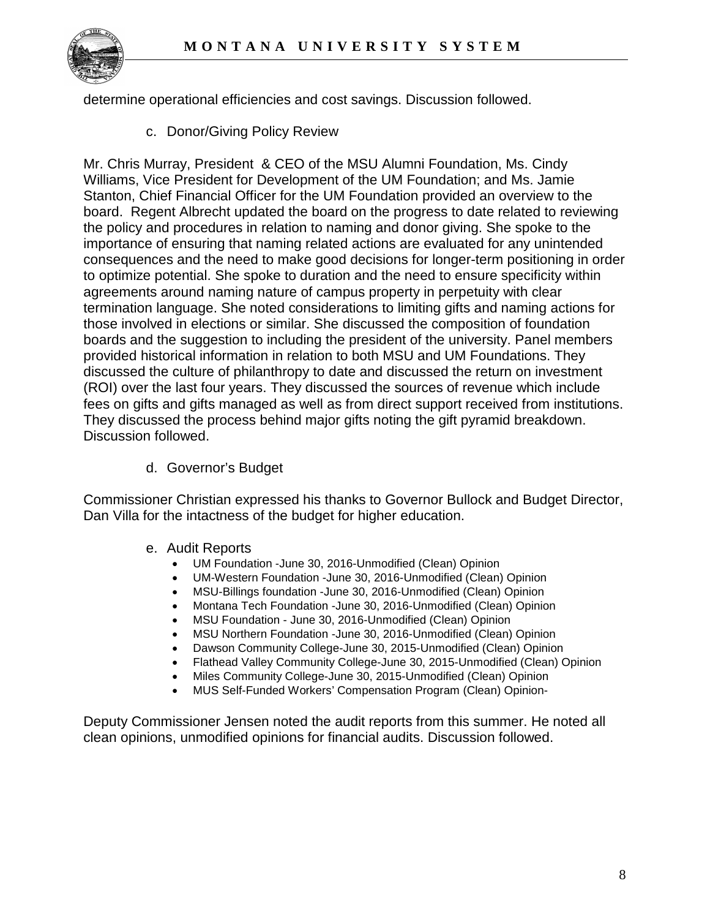

determine operational efficiencies and cost savings. Discussion followed.

c. Donor/Giving Policy Review

Mr. Chris Murray, President & CEO of the MSU Alumni Foundation, Ms. Cindy Williams, Vice President for Development of the UM Foundation; and Ms. Jamie Stanton, Chief Financial Officer for the UM Foundation provided an overview to the board. Regent Albrecht updated the board on the progress to date related to reviewing the policy and procedures in relation to naming and donor giving. She spoke to the importance of ensuring that naming related actions are evaluated for any unintended consequences and the need to make good decisions for longer-term positioning in order to optimize potential. She spoke to duration and the need to ensure specificity within agreements around naming nature of campus property in perpetuity with clear termination language. She noted considerations to limiting gifts and naming actions for those involved in elections or similar. She discussed the composition of foundation boards and the suggestion to including the president of the university. Panel members provided historical information in relation to both MSU and UM Foundations. They discussed the culture of philanthropy to date and discussed the return on investment (ROI) over the last four years. They discussed the sources of revenue which include fees on gifts and gifts managed as well as from direct support received from institutions. They discussed the process behind major gifts noting the gift pyramid breakdown. Discussion followed.

d. Governor's Budget

Commissioner Christian expressed his thanks to Governor Bullock and Budget Director, Dan Villa for the intactness of the budget for higher education.

- e. Audit Reports
	- UM Foundation -June 30, 2016-Unmodified (Clean) Opinion
	- UM-Western Foundation -June 30, 2016-Unmodified (Clean) Opinion
	- MSU-Billings foundation -June 30, 2016-Unmodified (Clean) Opinion
	- Montana Tech Foundation -June 30, 2016-Unmodified (Clean) Opinion
	- MSU Foundation June 30, 2016-Unmodified (Clean) Opinion
	- MSU Northern Foundation -June 30, 2016-Unmodified (Clean) Opinion
	- Dawson Community College-June 30, 2015-Unmodified (Clean) Opinion
	- Flathead Valley Community College-June 30, 2015-Unmodified (Clean) Opinion
	- Miles Community College-June 30, 2015-Unmodified (Clean) Opinion
	- MUS Self-Funded Workers' Compensation Program (Clean) Opinion-

Deputy Commissioner Jensen noted the audit reports from this summer. He noted all clean opinions, unmodified opinions for financial audits. Discussion followed.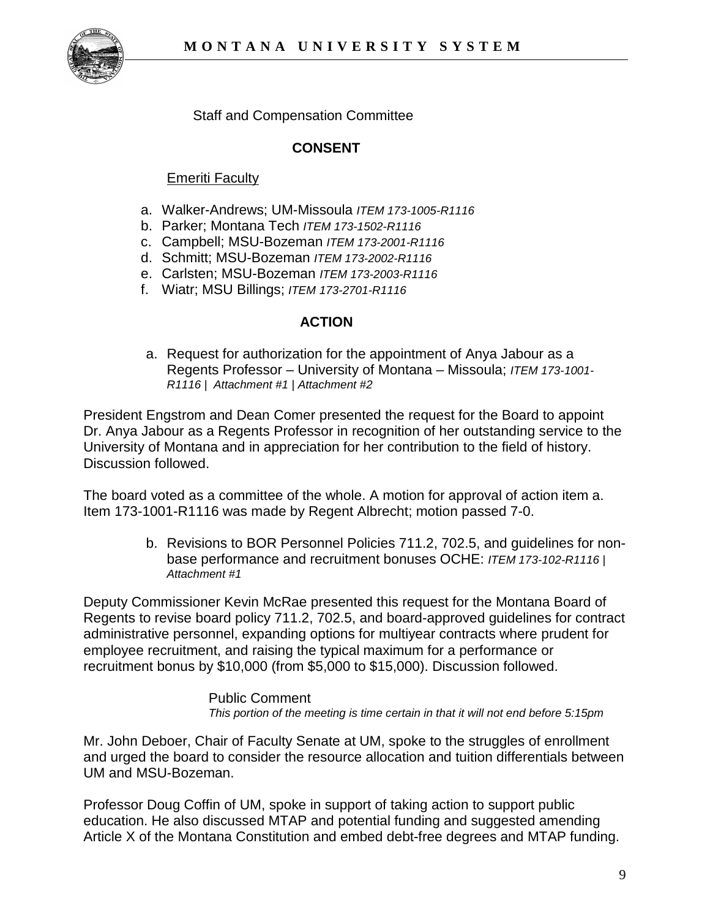

Staff and Compensation Committee

# **CONSENT**

# **Emeriti Faculty**

- a. Walker-Andrews; UM-Missoula *ITEM 173-1005-R1116*
- b. Parker; Montana Tech *ITEM 173-1502-R1116*
- c. Campbell; MSU-Bozeman *ITEM 173-2001-R1116*
- d. Schmitt; MSU-Bozeman *ITEM 173-2002-R1116*
- e. Carlsten; MSU-Bozeman *ITEM 173-2003-R1116*
- f. Wiatr; MSU Billings; *ITEM 173-2701-R1116*

## **ACTION**

a. Request for authorization for the appointment of Anya Jabour as a Regents Professor – University of Montana – Missoula; *ITEM 173-1001- R1116 | Attachment #1 | Attachment #2*

President Engstrom and Dean Comer presented the request for the Board to appoint Dr. Anya Jabour as a Regents Professor in recognition of her outstanding service to the University of Montana and in appreciation for her contribution to the field of history. Discussion followed.

The board voted as a committee of the whole. A motion for approval of action item a. Item 173-1001-R1116 was made by Regent Albrecht; motion passed 7-0.

> b. Revisions to BOR Personnel Policies 711.2, 702.5, and guidelines for nonbase performance and recruitment bonuses OCHE: *ITEM 173-102-R1116 | Attachment #1*

Deputy Commissioner Kevin McRae presented this request for the Montana Board of Regents to revise board policy 711.2, 702.5, and board-approved guidelines for contract administrative personnel, expanding options for multiyear contracts where prudent for employee recruitment, and raising the typical maximum for a performance or recruitment bonus by \$10,000 (from \$5,000 to \$15,000). Discussion followed.

#### Public Comment

*This portion of the meeting is time certain in that it will not end before 5:15pm*

Mr. John Deboer, Chair of Faculty Senate at UM, spoke to the struggles of enrollment and urged the board to consider the resource allocation and tuition differentials between UM and MSU-Bozeman.

Professor Doug Coffin of UM, spoke in support of taking action to support public education. He also discussed MTAP and potential funding and suggested amending Article X of the Montana Constitution and embed debt-free degrees and MTAP funding.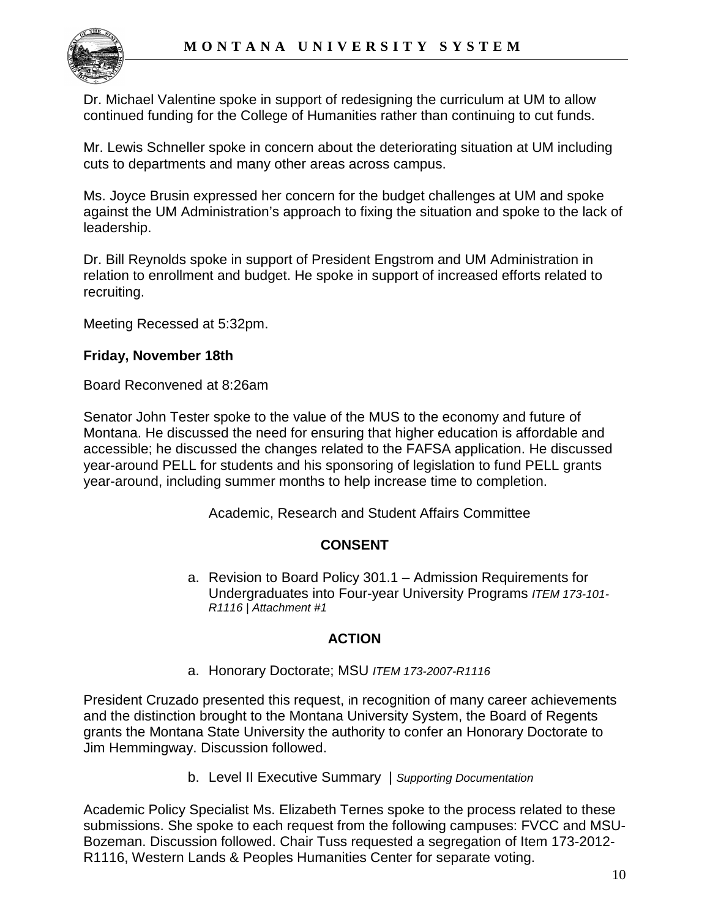

Dr. Michael Valentine spoke in support of redesigning the curriculum at UM to allow continued funding for the College of Humanities rather than continuing to cut funds.

Mr. Lewis Schneller spoke in concern about the deteriorating situation at UM including cuts to departments and many other areas across campus.

Ms. Joyce Brusin expressed her concern for the budget challenges at UM and spoke against the UM Administration's approach to fixing the situation and spoke to the lack of leadership.

Dr. Bill Reynolds spoke in support of President Engstrom and UM Administration in relation to enrollment and budget. He spoke in support of increased efforts related to recruiting.

Meeting Recessed at 5:32pm.

## **Friday, November 18th**

Board Reconvened at 8:26am

Senator John Tester spoke to the value of the MUS to the economy and future of Montana. He discussed the need for ensuring that higher education is affordable and accessible; he discussed the changes related to the FAFSA application. He discussed year-around PELL for students and his sponsoring of legislation to fund PELL grants year-around, including summer months to help increase time to completion.

Academic, Research and Student Affairs Committee

# **CONSENT**

a. Revision to Board Policy 301.1 – Admission Requirements for Undergraduates into Four-year University Programs *ITEM 173-101- R1116 | Attachment #1*

# **ACTION**

a. Honorary Doctorate; MSU *ITEM 173-2007-R1116*

President Cruzado presented this request, in recognition of many career achievements and the distinction brought to the Montana University System, the Board of Regents grants the Montana State University the authority to confer an Honorary Doctorate to Jim Hemmingway. Discussion followed.

b. Level II Executive Summary | *Supporting Documentation*

Academic Policy Specialist Ms. Elizabeth Ternes spoke to the process related to these submissions. She spoke to each request from the following campuses: FVCC and MSU-Bozeman. Discussion followed. Chair Tuss requested a segregation of Item 173-2012- R1116, Western Lands & Peoples Humanities Center for separate voting.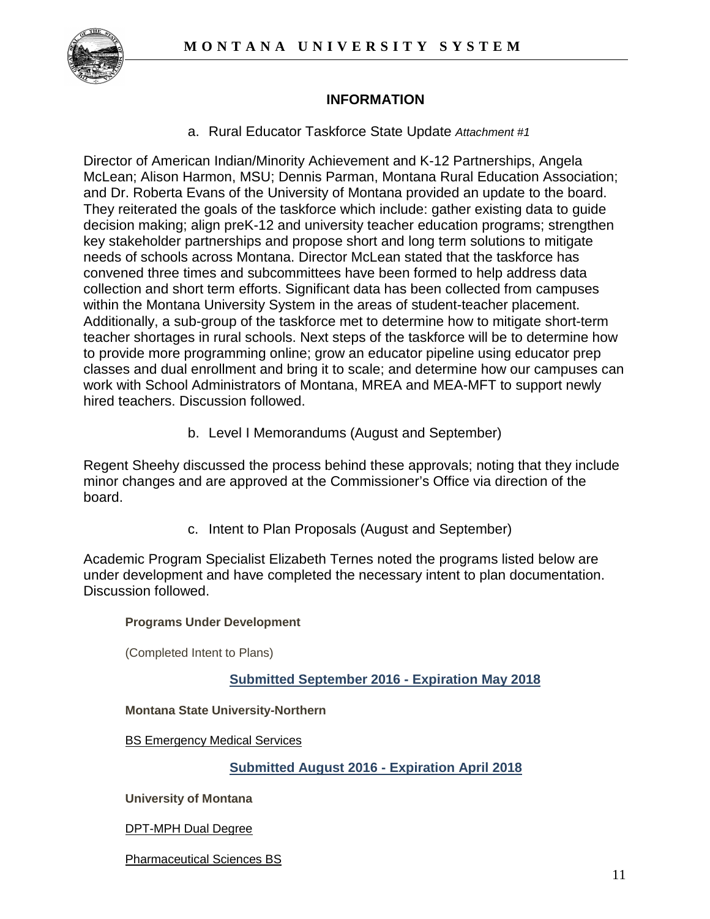

# **INFORMATION**

a. Rural Educator Taskforce State Update *Attachment #1*

Director of American Indian/Minority Achievement and K-12 Partnerships, Angela McLean; Alison Harmon, MSU; Dennis Parman, Montana Rural Education Association; and Dr. Roberta Evans of the University of Montana provided an update to the board. They reiterated the goals of the taskforce which include: gather existing data to guide decision making; align preK-12 and university teacher education programs; strengthen key stakeholder partnerships and propose short and long term solutions to mitigate needs of schools across Montana. Director McLean stated that the taskforce has convened three times and subcommittees have been formed to help address data collection and short term efforts. Significant data has been collected from campuses within the Montana University System in the areas of student-teacher placement. Additionally, a sub-group of the taskforce met to determine how to mitigate short-term teacher shortages in rural schools. Next steps of the taskforce will be to determine how to provide more programming online; grow an educator pipeline using educator prep classes and dual enrollment and bring it to scale; and determine how our campuses can work with School Administrators of Montana, MREA and MEA-MFT to support newly hired teachers. Discussion followed.

b. Level I Memorandums (August and September)

Regent Sheehy discussed the process behind these approvals; noting that they include minor changes and are approved at the Commissioner's Office via direction of the board.

c. Intent to Plan Proposals (August and September)

Academic Program Specialist Elizabeth Ternes noted the programs listed below are under development and have completed the necessary intent to plan documentation. Discussion followed.

#### **Programs Under Development**

(Completed Intent to Plans)

## **Submitted September 2016 - Expiration May 2018**

#### **Montana State University-Northern**

[BS Emergency Medical Services](http://mus.edu/che/arsa/IntenttoPlan/2016/MSUN/I2P_MSUN_Sept2016_BSEM.pdf)

#### **Submitted August 2016 - Expiration April 2018**

**University of Montana**

[DPT-MPH Dual Degree](http://mus.edu/che/arsa/IntenttoPlan/2016/UM/I2P_UM_Aug2016_DPT-MPHDualDegree.pdf)

[Pharmaceutical Sciences BS](http://mus.edu/che/arsa/IntenttoPlan/2016/UM/I2P_UM_Aug2016_PharmaceuticalSciencesBS.pdf)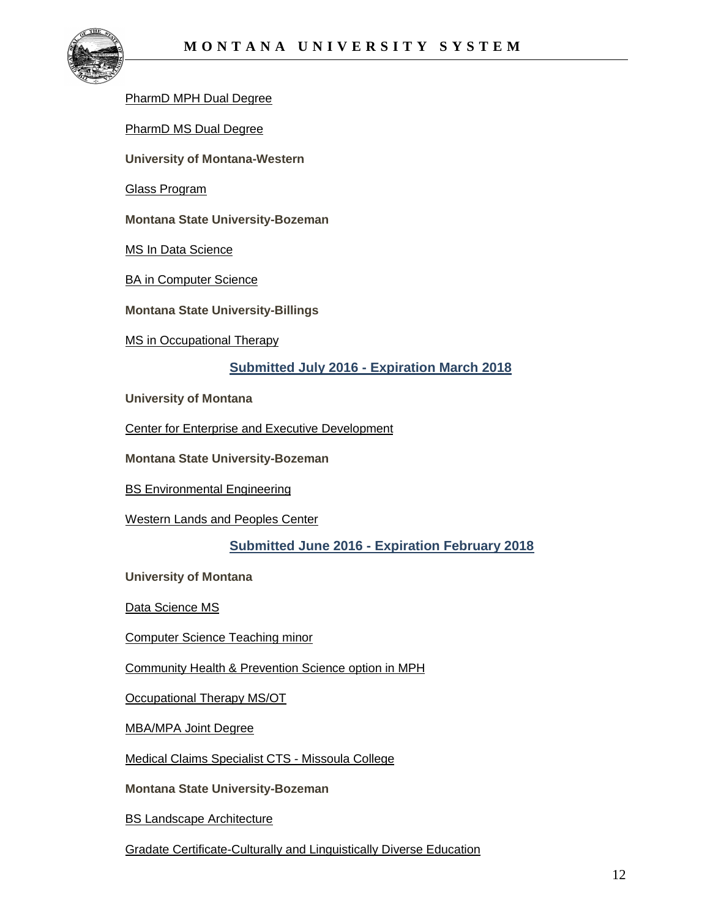

#### PharmD [MPH Dual Degree](http://mus.edu/che/arsa/IntenttoPlan/2016/UM/I2P_UM_Aug2016_PharmDMPHDualDegree.pdf)

[PharmD MS Dual Degree](http://mus.edu/che/arsa/IntenttoPlan/2016/UM/I2P_UM_Aug2016_PharmDMSDualDegree.pdf)

**University of Montana-Western**

[Glass Program](http://mus.edu/che/arsa/IntenttoPlan/2016/UMW/I2P_UMW_Aug2016_Glass%20Program.pdf)

**Montana State University-Bozeman**

[MS In Data Science](http://mus.edu/che/arsa/IntenttoPlan/2016/MSU/I2P_MSU_Aug2016_MSDataScience.pdf)

**[BA in Computer Science](http://mus.edu/che/arsa/IntenttoPlan/2016/MSU/I2P_MSU_Aug2016_ComputerScienceBA.pdf)** 

**Montana State University-Billings**

[MS in Occupational Therapy](http://mus.edu/che/arsa/IntenttoPlan/2016/MSUB/I2P_%20MSUB_Aug2016_MSOT.pdf)

#### **Submitted July 2016 - Expiration March 2018**

**University of Montana**

[Center for Enterprise and Executive Development](http://mus.edu/che/arsa/IntenttoPlan/2016/UM/I2P_UM_July2016_CenterforEnterpriseandExecutiveDevelopment.pdf)

**Montana State University-Bozeman**

[BS Environmental Engineering](http://mus.edu/che/arsa/IntenttoPlan/2016/MSU/I2P_MSU_July2016_BSEnvironmentalEngineering.pdf)

[Western Lands and Peoples Center](http://mus.edu/che/arsa/IntenttoPlan/2016/MSU/I2P_MSU_July2016_WesternLandsandPeoplesCenter.pdf)

#### **Submitted June 2016 - Expiration February 2018**

**University of Montana**

[Data Science MS](http://mus.edu/che/arsa/IntenttoPlan/2016/UM/I2P_UM_June2016_Data%20Science%20MS.pdf)

[Computer Science Teaching minor](http://mus.edu/che/arsa/IntenttoPlan/2016/UM/I2P_UM_June2016_ComputerSci%20Teaching%20Minor.pdf)

[Community Health & Prevention Science option in MPH](http://mus.edu/che/arsa/IntenttoPlan/2016/UM/I2P_UM_June2016_Comm%20Health%20Prev%20Sci%20option%20MPH.pdf)

[Occupational Therapy MS/OT](http://mus.edu/che/arsa/IntenttoPlan/2016/UM/I2P_UM_June2016_Occupational%20Therapy.pdf)

[MBA/MPA Joint Degree](http://mus.edu/che/arsa/IntenttoPlan/2016/UM/I2P_UM_June2016_MPA-MBA.pdf)

[Medical Claims Specialist CTS -](http://mus.edu/che/arsa/IntenttoPlan/2016/UM/I2P_UM_June2016_Medical%20Claims%20Specialist%20CTS.pdf) Missoula College

**Montana State University-Bozeman**

[BS Landscape Architecture](http://mus.edu/che/arsa/IntenttoPlan/2016/MSU/I2P_MSU_June2016_BS%20Landscape%20Architecture.pdf)

[Gradate Certificate-Culturally and Linguistically Diverse Education](http://mus.edu/che/arsa/IntenttoPlan/2016/MSU/I2P_MSU_June%202016_GradCert%20Cul&Ling%20Diverse%20Ed.pdf)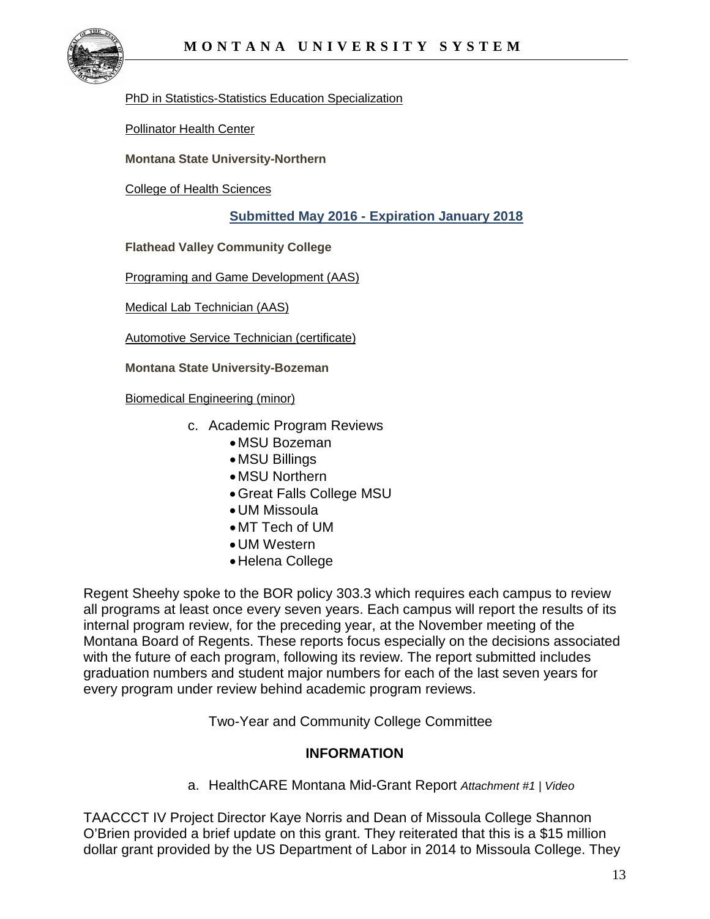

[PhD in Statistics-Statistics Education Specialization](http://mus.edu/che/arsa/IntenttoPlan/2016/MSU/I2P_MSU_June2016_PhD%20Statistics%20Stats%20Ed.pdf)

[Pollinator Health Center](http://mus.edu/che/arsa/IntenttoPlan/2016/MSU/I2P_MSU_June2016_Pollinator%20Health%20Center.pdf)

**Montana State University-Northern**

[College of Health Sciences](http://mus.edu/che/arsa/IntenttoPlan/2016/MSUN/I2P_MSUN_June2016_College%20of%20Health%20Sciences.pdf)

#### **Submitted May 2016 - Expiration January 2018**

**Flathead Valley Community College**

[Programing and Game Development \(AAS\)](http://mus.edu/che/arsa/IntenttoPlan/2016/FVCC/I2P_FVCC_May2016_Programming_Game_Development.pdf)

[Medical Lab Technician \(AAS\)](http://mus.edu/che/arsa/IntenttoPlan/2016/FVCC/I2P_FVCC_May2016_Medical_Lab_Tech.pdf)

[Automotive Service Technician \(certificate\)](http://mus.edu/che/arsa/IntenttoPlan/2016/FVCC/I2P_FVCC_May2016_Automotive_Tech.pdf)

**Montana State University-Bozeman**

[Biomedical Engineering \(minor\)](http://mus.edu/che/arsa/IntenttoPlan/2016/MSU/I2P_MSU_May2016_Minor_Biomedical_Eng.pdf)

- c. Academic Program Reviews
	- MSU Bozeman
	- MSU Billings
	- MSU Northern
	- •Great Falls College MSU
	- •UM Missoula
	- MT Tech of UM
	- •UM Western
	- •Helena College

Regent Sheehy spoke to the BOR policy 303.3 which requires each campus to review all programs at least once every seven years. Each campus will report the results of its internal program review, for the preceding year, at the November meeting of the Montana Board of Regents. These reports focus especially on the decisions associated with the future of each program, following its review. The report submitted includes graduation numbers and student major numbers for each of the last seven years for every program under review behind academic program reviews.

Two-Year and Community College Committee

## **INFORMATION**

a. HealthCARE Montana Mid-Grant Report *Attachment #1 | Video*

TAACCCT IV Project Director Kaye Norris and Dean of Missoula College Shannon O'Brien provided a brief update on this grant. They reiterated that this is a \$15 million dollar grant provided by the US Department of Labor in 2014 to Missoula College. They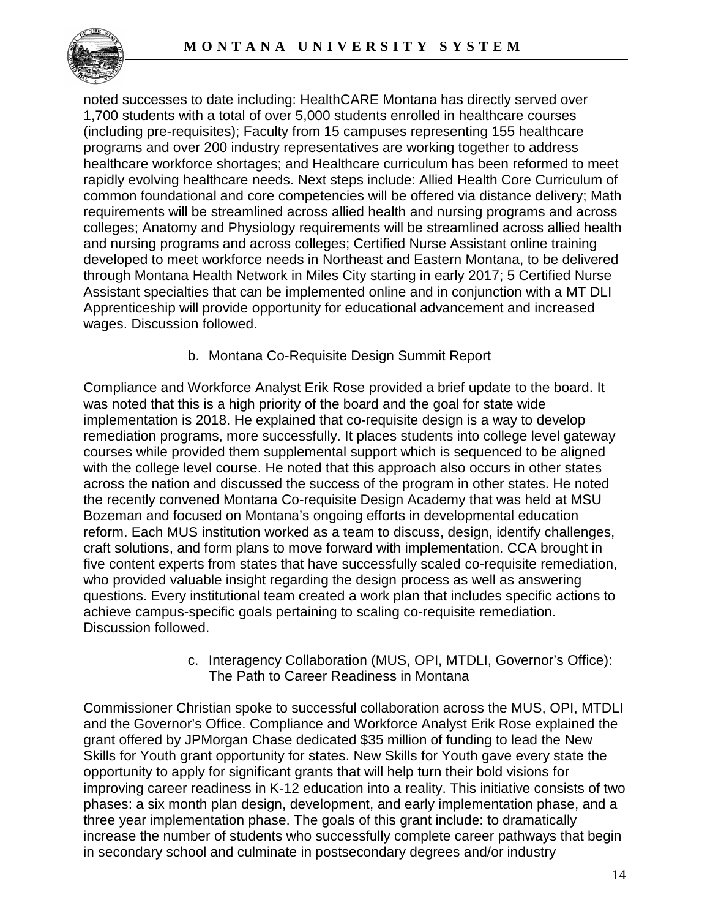

noted successes to date including: HealthCARE Montana has directly served over 1,700 students with a total of over 5,000 students enrolled in healthcare courses (including pre-requisites); Faculty from 15 campuses representing 155 healthcare programs and over 200 industry representatives are working together to address healthcare workforce shortages; and Healthcare curriculum has been reformed to meet rapidly evolving healthcare needs. Next steps include: Allied Health Core Curriculum of common foundational and core competencies will be offered via distance delivery; Math requirements will be streamlined across allied health and nursing programs and across colleges; Anatomy and Physiology requirements will be streamlined across allied health and nursing programs and across colleges; Certified Nurse Assistant online training developed to meet workforce needs in Northeast and Eastern Montana, to be delivered through Montana Health Network in Miles City starting in early 2017; 5 Certified Nurse Assistant specialties that can be implemented online and in conjunction with a MT DLI Apprenticeship will provide opportunity for educational advancement and increased wages. Discussion followed.

b. Montana Co-Requisite Design Summit Report

Compliance and Workforce Analyst Erik Rose provided a brief update to the board. It was noted that this is a high priority of the board and the goal for state wide implementation is 2018. He explained that co-requisite design is a way to develop remediation programs, more successfully. It places students into college level gateway courses while provided them supplemental support which is sequenced to be aligned with the college level course. He noted that this approach also occurs in other states across the nation and discussed the success of the program in other states. He noted the recently convened Montana Co-requisite Design Academy that was held at MSU Bozeman and focused on Montana's ongoing efforts in developmental education reform. Each MUS institution worked as a team to discuss, design, identify challenges, craft solutions, and form plans to move forward with implementation. CCA brought in five content experts from states that have successfully scaled co-requisite remediation, who provided valuable insight regarding the design process as well as answering questions. Every institutional team created a work plan that includes specific actions to achieve campus-specific goals pertaining to scaling co-requisite remediation. Discussion followed.

> c. Interagency Collaboration (MUS, OPI, MTDLI, Governor's Office): The Path to Career Readiness in Montana

Commissioner Christian spoke to successful collaboration across the MUS, OPI, MTDLI and the Governor's Office. Compliance and Workforce Analyst Erik Rose explained the grant offered by JPMorgan Chase dedicated \$35 million of funding to lead the New Skills for Youth grant opportunity for states. New Skills for Youth gave every state the opportunity to apply for significant grants that will help turn their bold visions for improving career readiness in K-12 education into a reality. This initiative consists of two phases: a six month plan design, development, and early implementation phase, and a three year implementation phase. The goals of this grant include: to dramatically increase the number of students who successfully complete career pathways that begin in secondary school and culminate in postsecondary degrees and/or industry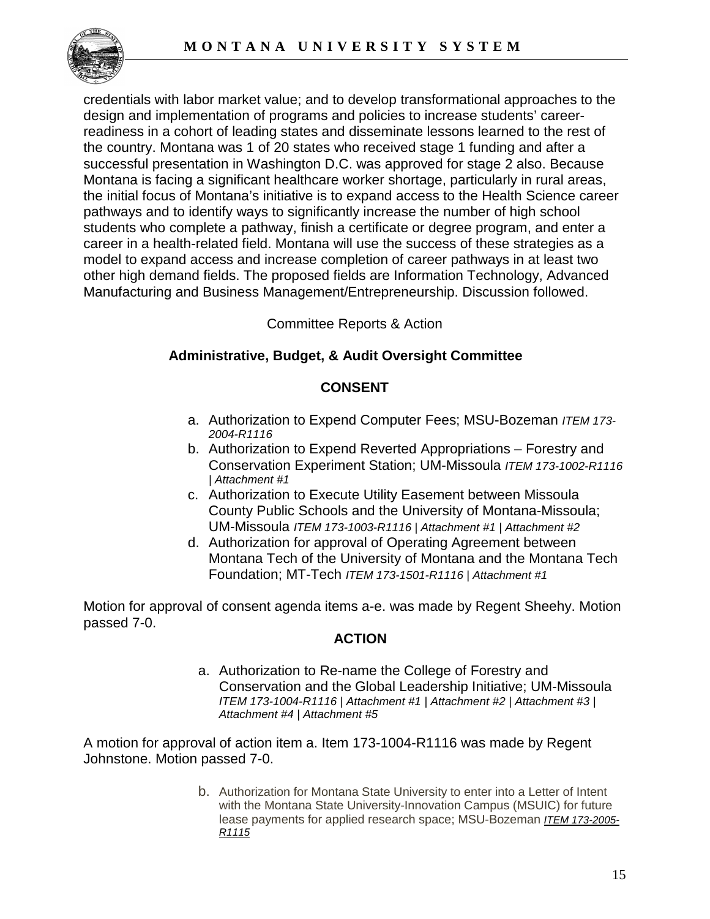

credentials with labor market value; and to develop transformational approaches to the design and implementation of programs and policies to increase students' careerreadiness in a cohort of leading states and disseminate lessons learned to the rest of the country. Montana was 1 of 20 states who received stage 1 funding and after a successful presentation in Washington D.C. was approved for stage 2 also. Because Montana is facing a significant healthcare worker shortage, particularly in rural areas, the initial focus of Montana's initiative is to expand access to the Health Science career pathways and to identify ways to significantly increase the number of high school students who complete a pathway, finish a certificate or degree program, and enter a career in a health-related field. Montana will use the success of these strategies as a model to expand access and increase completion of career pathways in at least two other high demand fields. The proposed fields are Information Technology, Advanced Manufacturing and Business Management/Entrepreneurship. Discussion followed.

Committee Reports & Action

# **Administrative, Budget, & Audit Oversight Committee**

# **CONSENT**

- a. Authorization to Expend Computer Fees; MSU-Bozeman *ITEM 173- 2004-R1116*
- b. Authorization to Expend Reverted Appropriations Forestry and Conservation Experiment Station; UM-Missoula *ITEM 173-1002-R1116 | Attachment #1*
- c. Authorization to Execute Utility Easement between Missoula County Public Schools and the University of Montana-Missoula; UM-Missoula *ITEM 173-1003-R1116 | Attachment #1 | Attachment #2*
- d. Authorization for approval of Operating Agreement between Montana Tech of the University of Montana and the Montana Tech Foundation; MT-Tech *ITEM 173-1501-R1116 | Attachment #1*

Motion for approval of consent agenda items a-e. was made by Regent Sheehy. Motion passed 7-0.

# **ACTION**

a. Authorization to Re-name the College of Forestry and Conservation and the Global Leadership Initiative; UM-Missoula *ITEM 173-1004-R1116 | Attachment #1 | Attachment #2 | Attachment #3 | Attachment #4 | Attachment #5*

A motion for approval of action item a. Item 173-1004-R1116 was made by Regent Johnstone. Motion passed 7-0.

> b. Authorization for Montana State University to enter into a Letter of Intent with the Montana State University-Innovation Campus (MSUIC) for future lease payments for applied research space; MSU-Bozeman *[ITEM 173-2005-](http://mus.edu/board/meetings/2016/Nov2016/AdminBudget/173-2005-R1115.pdf) [R1115](http://mus.edu/board/meetings/2016/Nov2016/AdminBudget/173-2005-R1115.pdf)*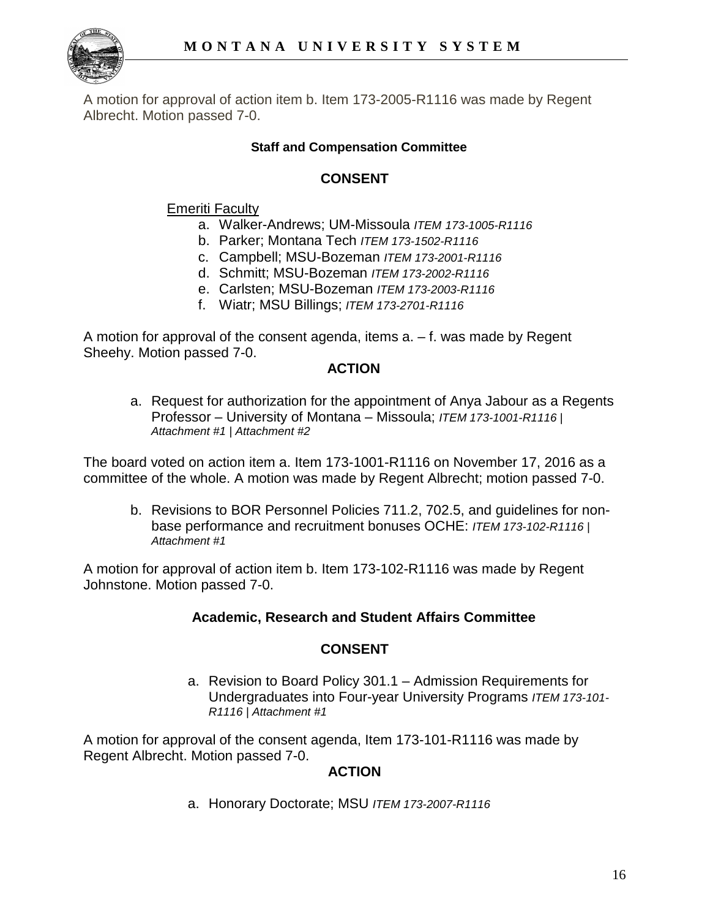

A motion for approval of action item b. Item 173-2005-R1116 was made by Regent Albrecht. Motion passed 7-0.

## **Staff and Compensation Committee**

# **CONSENT**

## Emeriti Faculty

- a. Walker-Andrews; UM-Missoula *ITEM 173-1005-R1116*
- b. Parker; Montana Tech *ITEM 173-1502-R1116*
- c. Campbell; MSU-Bozeman *ITEM 173-2001-R1116*
- d. Schmitt; MSU-Bozeman *ITEM 173-2002-R1116*
- e. Carlsten; MSU-Bozeman *ITEM 173-2003-R1116*
- f. Wiatr; MSU Billings; *ITEM 173-2701-R1116*

A motion for approval of the consent agenda, items a. – f. was made by Regent Sheehy. Motion passed 7-0.

## **ACTION**

a. Request for authorization for the appointment of Anya Jabour as a Regents Professor – University of Montana – Missoula; *ITEM 173-1001-R1116 | Attachment #1 | Attachment #2*

The board voted on action item a. Item 173-1001-R1116 on November 17, 2016 as a committee of the whole. A motion was made by Regent Albrecht; motion passed 7-0.

b. Revisions to BOR Personnel Policies 711.2, 702.5, and guidelines for nonbase performance and recruitment bonuses OCHE: *ITEM 173-102-R1116 | Attachment #1*

A motion for approval of action item b. Item 173-102-R1116 was made by Regent Johnstone. Motion passed 7-0.

## **Academic, Research and Student Affairs Committee**

## **CONSENT**

a. Revision to Board Policy 301.1 – Admission Requirements for Undergraduates into Four-year University Programs *ITEM 173-101- R1116 | Attachment #1*

A motion for approval of the consent agenda, Item 173-101-R1116 was made by Regent Albrecht. Motion passed 7-0.

## **ACTION**

a. Honorary Doctorate; MSU *ITEM 173-2007-R1116*